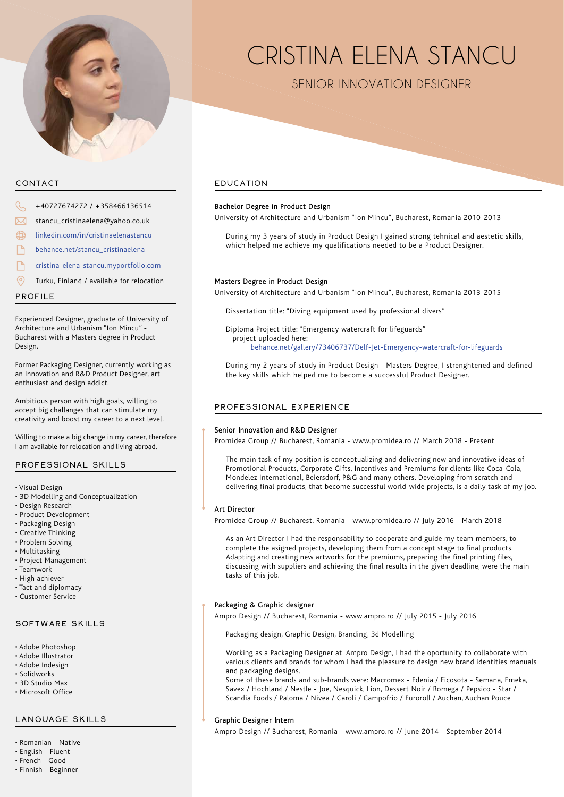

# CONTACT

- +40727674272 / +358466136514
- stancu\_cristinaelena@yahoo.co.uk
- linkedin.com/in/cristinaelenastancu
- behance.net/stancu\_cristinaelena
- cristina-elena-stancu.myportfolio.com
- Turku, Finland / available for relocation

PROFILE

Experienced Designer, graduate of University of Architecture and Urbanism "Ion Mincu" - Bucharest with a Masters degree in Product Design.

Former Packaging Designer, currently working as an Innovation and R&D Product Designer, art enthusiast and design addict.

Ambitious person with high goals, willing to accept big challanges that can stimulate my creativity and boost my career to a next level.

Willing to make a big change in my career, therefore I am available for relocation and living abroad.

# PROFESSIONAL SKILLS

- Visual Design
- 3D Modelling and Conceptualization
- Design Research
- Product Development
- Packaging Design
- Creative Thinking
- Problem Solving
- Multitasking
- Project Management
- Teamwork
- High achiever
- Tact and diplomacy
- Customer Service

# SOFTWARE SKILLS

- Adobe Photoshop
- Adobe Illustrator
- Adobe Indesign
- Solidworks
- 3D Studio Max • Microsoft Office
- 

# LANGUAGE SKILLS

- Romanian Native
- English Fluent
- French Good
- Finnish Beginner

# CRISTINA ELENA STANCU

SENIOR INNOVATION DESIGNER

# EDUCATION

#### Bachelor Degree in Product Design

University of Architecture and Urbanism "Ion Mincu", Bucharest, Romania 2010-2013

During my 3 years of study in Product Design I gained strong tehnical and aestetic skills, which helped me achieve my qualifications needed to be a Product Designer.

#### Masters Degree in Product Design

University of Architecture and Urbanism "Ion Mincu", Bucharest, Romania 2013-2015

Dissertation title: "Diving equipment used by professional divers"

Diploma Project title: "Emergency watercraft for lifeguards" project uploaded here: behance.net/gallery/73406737/Delf-Jet-Emergency-watercraft-for-lifeguards

During my 2 years of study in Product Design - Masters Degree, I strenghtened and defined the key skills which helped me to become a successful Product Designer.

# PROFESSIONAL EXPERIENCE

#### Senior Innovation and R&D Designer

Promidea Group // Bucharest, Romania - www.promidea.ro // March 2018 - Present

The main task of my position is conceptualizing and delivering new and innovative ideas of Promotional Products, Corporate Gifts, Incentives and Premiums for clients like Coca-Cola, Mondelez International, Beiersdorf, P&G and many others. Developing from scratch and delivering final products, that become successful world-wide projects, is a daily task of my job.

#### **Art Director**

Promidea Group // Bucharest, Romania - www.promidea.ro // July 2016 - March 2018

As an Art Director I had the responsability to cooperate and guide my team members, to complete the asigned projects, developing them from a concept stage to final products. Adapting and creating new artworks for the premiums, preparing the final printing files, discussing with suppliers and achieving the final results in the given deadline, were the main tasks of this job.

#### Packaging & Graphic designer

Ampro Design // Bucharest, Romania - www.ampro.ro // July 2015 - July 2016

Packaging design, Graphic Design, Branding, 3d Modelling

Working as a Packaging Designer at Ampro Design, I had the oportunity to collaborate with various clients and brands for whom I had the pleasure to design new brand identities manuals and packaging designs.

Some of these brands and sub-brands were: Macromex - Edenia / Ficosota - Semana, Emeka, Savex / Hochland / Nestle - Joe, Nesquick, Lion, Dessert Noir / Romega / Pepsico - Star / Scandia Foods / Paloma / Nivea / Caroli / Campofrio / Euroroll / Auchan, Auchan Pouce

#### **Graphic Designer Intern**

Ampro Design // Bucharest, Romania - www.ampro.ro // June 2014 - September 2014